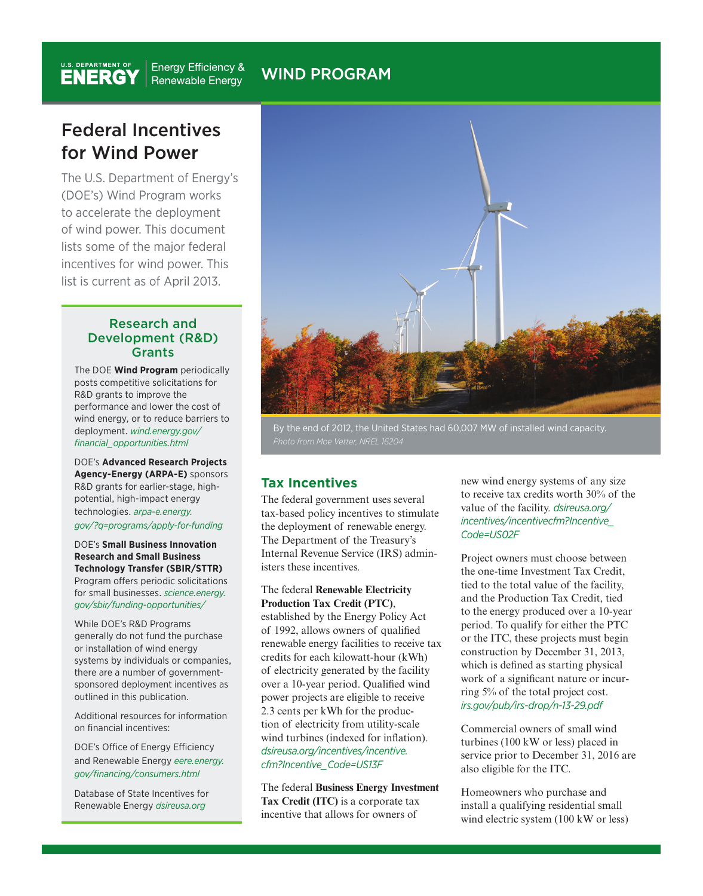# WIND PROGRAM

# Federal Incentives for Wind Power

The U.S. Department of Energy's (DOE's) Wind Program works to accelerate the deployment of wind power. This document lists some of the major federal incentives for wind power. This list is current as of April 2013.

#### Research and Development (R&D) **Grants**

The DOE **Wind Program** periodically posts competitive solicitations for R&D grants to improve the performance and lower the cost of wind energy, or to reduce barriers to deployment. *wind.energy.gov/ financial\_opportunities.html* 

DOE's **Advanced Research Projects Agency-Energy (ARPA-E)** sponsors R&D grants for earlier-stage, highpotential, high-impact energy technologies. *arpa-e.energy. gov/?q=programs/apply-for-funding* 

DOE's **Small Business Innovation Research and Small Business Technology Transfer (SBIR/STTR)**  Program offers periodic solicitations for small businesses. *science.energy. gov/sbir/funding-opportunities/* 

While DOE's R&D Programs generally do not fund the purchase or installation of wind energy systems by individuals or companies, there are a number of governmentsponsored deployment incentives as outlined in this publication.

Additional resources for information on financial incentives:

DOE's Office of Energy Efficiency and Renewable Energy *eere.energy. gov/financing/consumers.html* 

Database of State Incentives for Renewable Energy *dsireusa.org* 



By the end of 2012, the United States had 60,007 MW of installed wind capacity.

# **Tax Incentives**

The federal government uses several tax-based policy incentives to stimulate the deployment of renewable energy. The Department of the Treasury's Internal Revenue Service (IRS) administers these incentives.

The federal **Renewable Electricity Production Tax Credit (PTC)**, established by the Energy Policy Act of 1992, allows owners of qualified renewable energy facilities to receive tax credits for each kilowatt-hour (kWh) of electricity generated by the facility over a 10-year period. Qualified wind power projects are eligible to receive 2.3 cents per kWh for the production of electricity from utility-scale wind turbines (indexed for inflation). *dsireusa.org/incentives/incentive. cfm?Incentive\_Code=US13F* 

The federal **Business Energy Investment Tax Credit (ITC)** is a corporate tax incentive that allows for owners of

new wind energy systems of any size to receive tax credits worth 30% of the value of the facility. *dsireusa.org/ incentives/incentivecfm?Incentive\_ Code=US02F* 

Project owners must choose between the one-time Investment Tax Credit, tied to the total value of the facility, and the Production Tax Credit, tied to the energy produced over a 10-year period. To qualify for either the PTC or the ITC, these projects must begin construction by December 31, 2013, which is defined as starting physical work of a significant nature or incurring 5% of the total project cost. *irs.gov/pub/irs-drop/n-13-29.pdf* 

Commercial owners of small wind turbines (100 kW or less) placed in service prior to December 31, 2016 are also eligible for the ITC.

Homeowners who purchase and install a qualifying residential small wind electric system (100 kW or less)